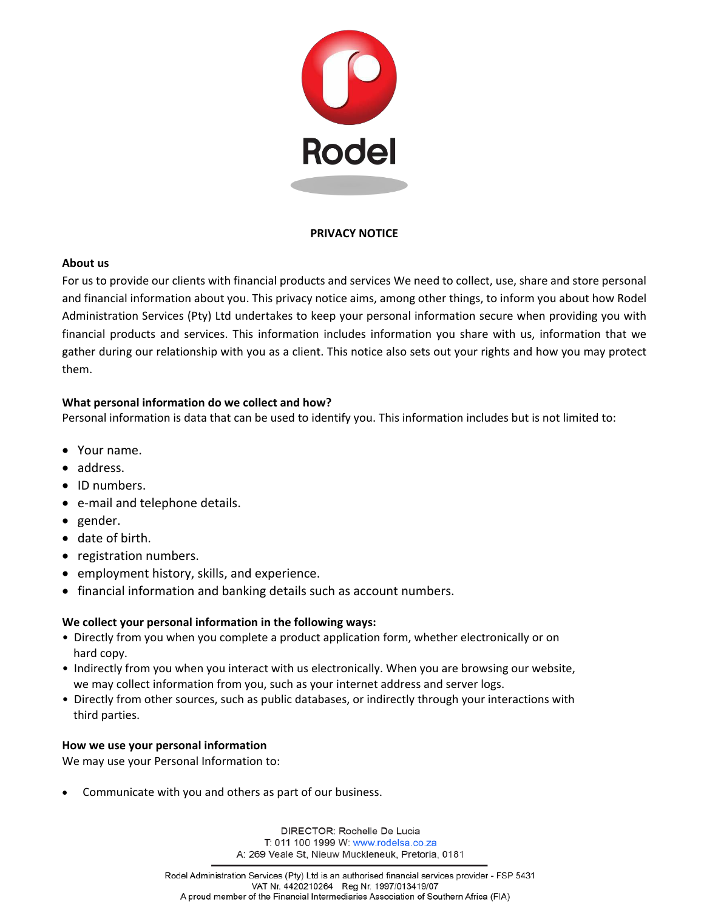

# **PRIVACY NOTICE**

## **About us**

For us to provide our clients with financial products and services We need to collect, use, share and store personal and financial information about you. This privacy notice aims, among other things, to inform you about how Rodel Administration Services (Pty) Ltd undertakes to keep your personal information secure when providing you with financial products and services. This information includes information you share with us, information that we gather during our relationship with you as a client. This notice also sets out your rights and how you may protect them.

# **What personal information do we collect and how?**

Personal information is data that can be used to identify you. This information includes but is not limited to:

- Your name.
- address.
- ID numbers.
- e-mail and telephone details.
- gender.
- date of birth.
- registration numbers.
- employment history, skills, and experience.
- financial information and banking details such as account numbers.

# **We collect your personal information in the following ways:**

- Directly from you when you complete a product application form, whether electronically or on hard copy.
- Indirectly from you when you interact with us electronically. When you are browsing our website, we may collect information from you, such as your internet address and server logs.
- Directly from other sources, such as public databases, or indirectly through your interactions with third parties.

# **How we use your personal information**

We may use your Personal Information to:

Communicate with you and others as part of our business.

DIRECTOR: Rochelle De Lucia T: 011 100 1999 W: www.rodelsa.co.za A: 269 Veale St, Nieuw Muckleneuk, Pretoria, 0181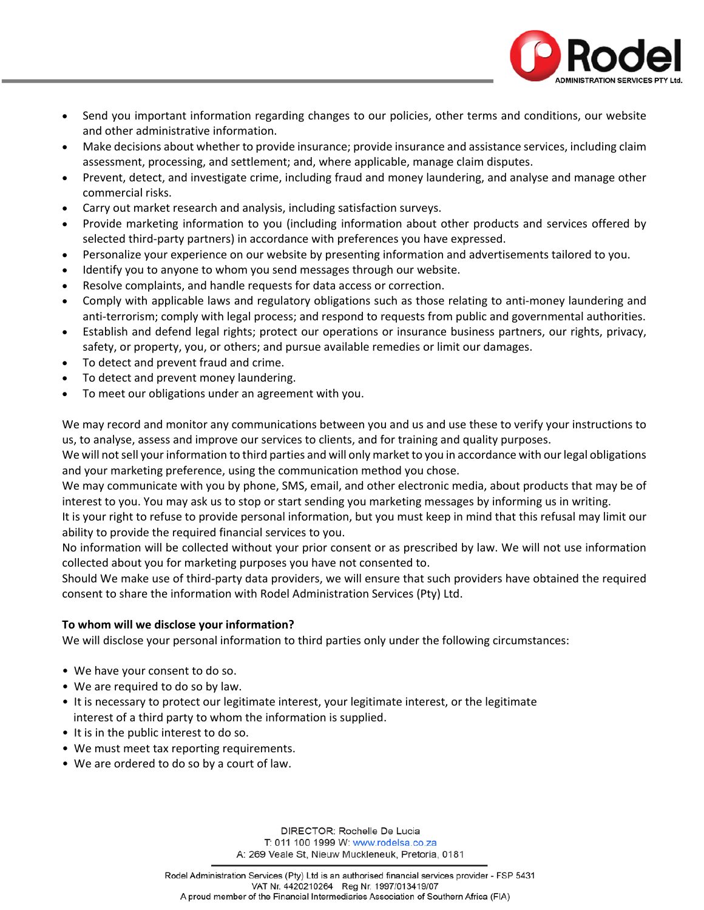

- Send you important information regarding changes to our policies, other terms and conditions, our website and other administrative information.
- Make decisions about whether to provide insurance; provide insurance and assistance services, including claim assessment, processing, and settlement; and, where applicable, manage claim disputes.
- Prevent, detect, and investigate crime, including fraud and money laundering, and analyse and manage other commercial risks.
- Carry out market research and analysis, including satisfaction surveys.
- Provide marketing information to you (including information about other products and services offered by selected third-party partners) in accordance with preferences you have expressed.
- Personalize your experience on our website by presenting information and advertisements tailored to you.
- Identify you to anyone to whom you send messages through our website.
- Resolve complaints, and handle requests for data access or correction.
- Comply with applicable laws and regulatory obligations such as those relating to anti-money laundering and anti-terrorism; comply with legal process; and respond to requests from public and governmental authorities.
- Establish and defend legal rights; protect our operations or insurance business partners, our rights, privacy, safety, or property, you, or others; and pursue available remedies or limit our damages.
- To detect and prevent fraud and crime.
- To detect and prevent money laundering.
- To meet our obligations under an agreement with you.

We may record and monitor any communications between you and us and use these to verify your instructions to us, to analyse, assess and improve our services to clients, and for training and quality purposes.

We will not sell your information to third parties and will only market to you in accordance with our legal obligations and your marketing preference, using the communication method you chose.

We may communicate with you by phone, SMS, email, and other electronic media, about products that may be of interest to you. You may ask us to stop or start sending you marketing messages by informing us in writing.

It is your right to refuse to provide personal information, but you must keep in mind that this refusal may limit our ability to provide the required financial services to you.

No information will be collected without your prior consent or as prescribed by law. We will not use information collected about you for marketing purposes you have not consented to.

Should We make use of third-party data providers, we will ensure that such providers have obtained the required consent to share the information with Rodel Administration Services (Pty) Ltd.

## **To whom will we disclose your information?**

We will disclose your personal information to third parties only under the following circumstances:

- We have your consent to do so.
- We are required to do so by law.
- It is necessary to protect our legitimate interest, your legitimate interest, or the legitimate interest of a third party to whom the information is supplied.
- It is in the public interest to do so.
- We must meet tax reporting requirements.
- We are ordered to do so by a court of law.

DIRECTOR: Rochelle De Lucia T: 011 100 1999 W: www.rodelsa.co.za A: 269 Veale St, Nieuw Muckleneuk, Pretoria, 0181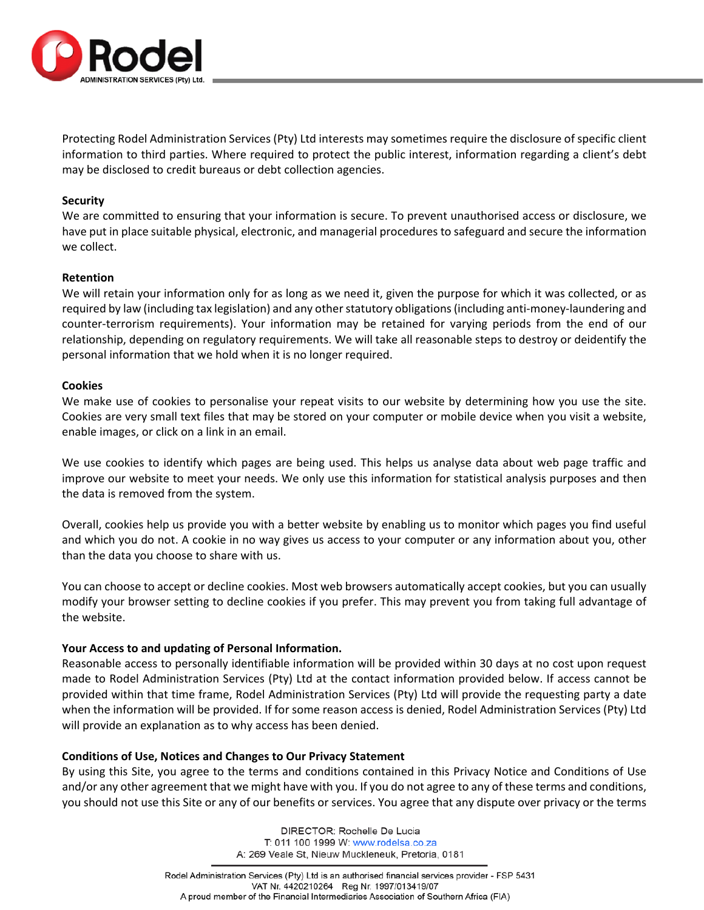

Protecting Rodel Administration Services (Pty) Ltd interests may sometimes require the disclosure of specific client information to third parties. Where required to protect the public interest, information regarding a client's debt may be disclosed to credit bureaus or debt collection agencies.

#### **Security**

We are committed to ensuring that your information is secure. To prevent unauthorised access or disclosure, we have put in place suitable physical, electronic, and managerial procedures to safeguard and secure the information we collect.

#### **Retention**

We will retain your information only for as long as we need it, given the purpose for which it was collected, or as required by law (including tax legislation) and any other statutory obligations (including anti-money-laundering and counter-terrorism requirements). Your information may be retained for varying periods from the end of our relationship, depending on regulatory requirements. We will take all reasonable steps to destroy or deidentify the personal information that we hold when it is no longer required.

#### **Cookies**

We make use of cookies to personalise your repeat visits to our website by determining how you use the site. Cookies are very small text files that may be stored on your computer or mobile device when you visit a website, enable images, or click on a link in an email.

We use cookies to identify which pages are being used. This helps us analyse data about web page traffic and improve our website to meet your needs. We only use this information for statistical analysis purposes and then the data is removed from the system.

Overall, cookies help us provide you with a better website by enabling us to monitor which pages you find useful and which you do not. A cookie in no way gives us access to your computer or any information about you, other than the data you choose to share with us.

You can choose to accept or decline cookies. Most web browsers automatically accept cookies, but you can usually modify your browser setting to decline cookies if you prefer. This may prevent you from taking full advantage of the website.

## **Your Access to and updating of Personal Information.**

Reasonable access to personally identifiable information will be provided within 30 days at no cost upon request made to Rodel Administration Services (Pty) Ltd at the contact information provided below. If access cannot be provided within that time frame, Rodel Administration Services (Pty) Ltd will provide the requesting party a date when the information will be provided. If for some reason access is denied, Rodel Administration Services (Pty) Ltd will provide an explanation as to why access has been denied.

## **Conditions of Use, Notices and Changes to Our Privacy Statement**

By using this Site, you agree to the terms and conditions contained in this Privacy Notice and Conditions of Use and/or any other agreement that we might have with you. If you do not agree to any of these terms and conditions, you should not use this Site or any of our benefits or services. You agree that any dispute over privacy or the terms

> DIRECTOR: Rochelle De Lucia T: 011 100 1999 W: www.rodelsa.co.za A: 269 Veale St, Nieuw Muckleneuk, Pretoria, 0181

Rodel Administration Services (Pty) Ltd is an authorised financial services provider - FSP 5431 VAT Nr. 4420210264 Reg Nr. 1997/013419/07 A proud member of the Financial Intermediaries Association of Southern Africa (FIA)